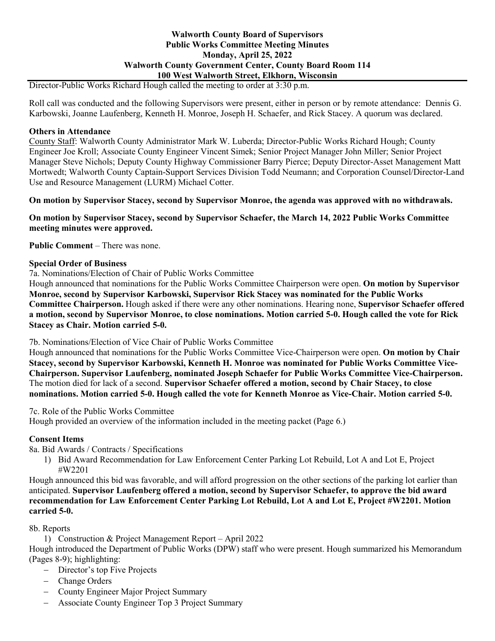## **Walworth County Board of Supervisors Public Works Committee Meeting Minutes Monday, April 25, 2022 Walworth County Government Center, County Board Room 114 100 West Walworth Street, Elkhorn, Wisconsin**

Director-Public Works Richard Hough called the meeting to order at 3:30 p.m.

Roll call was conducted and the following Supervisors were present, either in person or by remote attendance: Dennis G. Karbowski, Joanne Laufenberg, Kenneth H. Monroe, Joseph H. Schaefer, and Rick Stacey. A quorum was declared.

#### **Others in Attendance**

County Staff: Walworth County Administrator Mark W. Luberda; Director-Public Works Richard Hough; County Engineer Joe Kroll; Associate County Engineer Vincent Simek; Senior Project Manager John Miller; Senior Project Manager Steve Nichols; Deputy County Highway Commissioner Barry Pierce; Deputy Director-Asset Management Matt Mortwedt; Walworth County Captain-Support Services Division Todd Neumann; and Corporation Counsel/Director-Land Use and Resource Management (LURM) Michael Cotter.

**On motion by Supervisor Stacey, second by Supervisor Monroe, the agenda was approved with no withdrawals.**

**On motion by Supervisor Stacey, second by Supervisor Schaefer, the March 14, 2022 Public Works Committee meeting minutes were approved.**

**Public Comment** – There was none.

### **Special Order of Business**

7a. Nominations/Election of Chair of Public Works Committee

Hough announced that nominations for the Public Works Committee Chairperson were open. **On motion by Supervisor Monroe, second by Supervisor Karbowski, Supervisor Rick Stacey was nominated for the Public Works Committee Chairperson.** Hough asked if there were any other nominations. Hearing none, **Supervisor Schaefer offered a motion, second by Supervisor Monroe, to close nominations. Motion carried 5-0. Hough called the vote for Rick Stacey as Chair. Motion carried 5-0.**

7b. Nominations/Election of Vice Chair of Public Works Committee

Hough announced that nominations for the Public Works Committee Vice-Chairperson were open. **On motion by Chair Stacey, second by Supervisor Karbowski, Kenneth H. Monroe was nominated for Public Works Committee Vice-Chairperson. Supervisor Laufenberg, nominated Joseph Schaefer for Public Works Committee Vice-Chairperson.** The motion died for lack of a second. **Supervisor Schaefer offered a motion, second by Chair Stacey, to close nominations. Motion carried 5-0. Hough called the vote for Kenneth Monroe as Vice-Chair. Motion carried 5-0.**

7c. Role of the Public Works Committee

Hough provided an overview of the information included in the meeting packet (Page 6.)

### **Consent Items**

8a. Bid Awards / Contracts / Specifications

1) Bid Award Recommendation for Law Enforcement Center Parking Lot Rebuild, Lot A and Lot E, Project #W2201

Hough announced this bid was favorable, and will afford progression on the other sections of the parking lot earlier than anticipated. **Supervisor Laufenberg offered a motion, second by Supervisor Schaefer, to approve the bid award recommendation for Law Enforcement Center Parking Lot Rebuild, Lot A and Lot E, Project #W2201. Motion carried 5-0.**

### 8b. Reports

1) Construction & Project Management Report – April 2022

Hough introduced the Department of Public Works (DPW) staff who were present. Hough summarized his Memorandum (Pages 8-9); highlighting:

- − Director's top Five Projects
- − Change Orders
- − County Engineer Major Project Summary
- − Associate County Engineer Top 3 Project Summary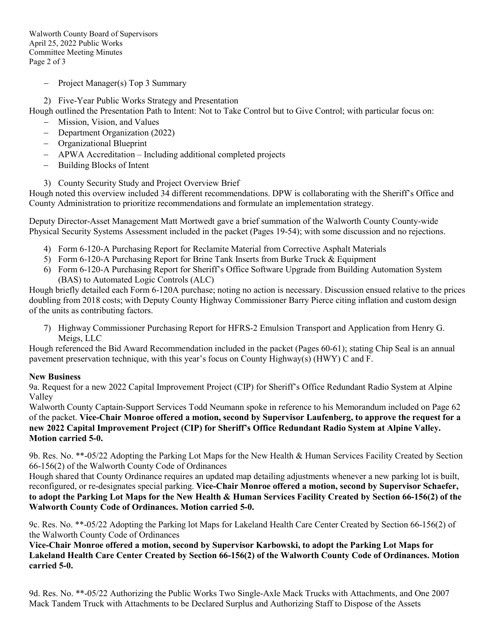Walworth County Board of Supervisors April 25, 2022 Public Works Committee Meeting Minutes Page 2 of 3

- − Project Manager(s) Top 3 Summary
- 2) Five-Year Public Works Strategy and Presentation

Hough outlined the Presentation Path to Intent: Not to Take Control but to Give Control; with particular focus on:

- − Mission, Vision, and Values
- − Department Organization (2022)
- − Organizational Blueprint
- − APWA Accreditation Including additional completed projects
- − Building Blocks of Intent
- 3) County Security Study and Project Overview Brief

Hough noted this overview included 34 different recommendations. DPW is collaborating with the Sheriff's Office and County Administration to prioritize recommendations and formulate an implementation strategy.

Deputy Director-Asset Management Matt Mortwedt gave a brief summation of the Walworth County County-wide Physical Security Systems Assessment included in the packet (Pages 19-54); with some discussion and no rejections.

- 4) Form 6-120-A Purchasing Report for Reclamite Material from Corrective Asphalt Materials
- 5) Form 6-120-A Purchasing Report for Brine Tank Inserts from Burke Truck & Equipment
- 6) Form 6-120-A Purchasing Report for Sheriff's Office Software Upgrade from Building Automation System (BAS) to Automated Logic Controls (ALC)

Hough briefly detailed each Form 6-120A purchase; noting no action is necessary. Discussion ensued relative to the prices doubling from 2018 costs; with Deputy County Highway Commissioner Barry Pierce citing inflation and custom design of the units as contributing factors.

7) Highway Commissioner Purchasing Report for HFRS-2 Emulsion Transport and Application from Henry G. Meigs, LLC

Hough referenced the Bid Award Recommendation included in the packet (Pages 60-61); stating Chip Seal is an annual pavement preservation technique, with this year's focus on County Highway(s) (HWY) C and F.

# **New Business**

9a. Request for a new 2022 Capital Improvement Project (CIP) for Sheriff's Office Redundant Radio System at Alpine Valley

Walworth County Captain-Support Services Todd Neumann spoke in reference to his Memorandum included on Page 62 of the packet. **Vice-Chair Monroe offered a motion, second by Supervisor Laufenberg, to approve the request for a new 2022 Capital Improvement Project (CIP) for Sheriff's Office Redundant Radio System at Alpine Valley. Motion carried 5-0.**

9b. Res. No. \*\*-05/22 Adopting the Parking Lot Maps for the New Health & Human Services Facility Created by Section 66-156(2) of the Walworth County Code of Ordinances

Hough shared that County Ordinance requires an updated map detailing adjustments whenever a new parking lot is built, reconfigured, or re-designates special parking. **Vice-Chair Monroe offered a motion, second by Supervisor Schaefer, to adopt the Parking Lot Maps for the New Health & Human Services Facility Created by Section 66-156(2) of the Walworth County Code of Ordinances. Motion carried 5-0.**

9c. Res. No. \*\*-05/22 Adopting the Parking lot Maps for Lakeland Health Care Center Created by Section 66-156(2) of the Walworth County Code of Ordinances

**Vice-Chair Monroe offered a motion, second by Supervisor Karbowski, to adopt the Parking Lot Maps for Lakeland Health Care Center Created by Section 66-156(2) of the Walworth County Code of Ordinances. Motion carried 5-0.**

9d. Res. No. \*\*-05/22 Authorizing the Public Works Two Single-Axle Mack Trucks with Attachments, and One 2007 Mack Tandem Truck with Attachments to be Declared Surplus and Authorizing Staff to Dispose of the Assets